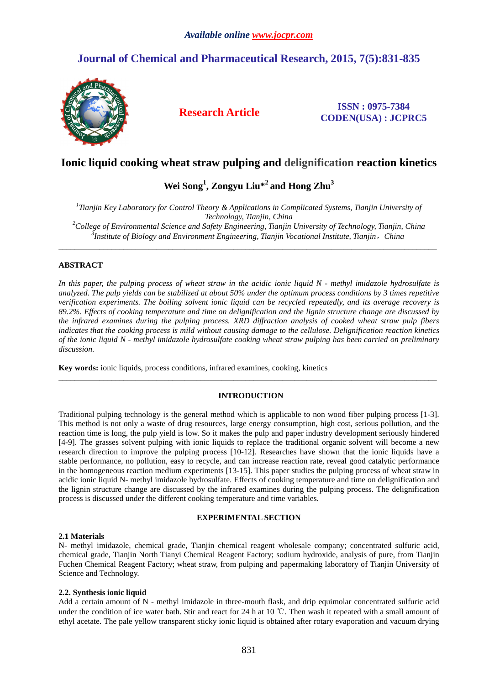# **Journal of Chemical and Pharmaceutical Research, 2015, 7(5):831-835**



### **Research Article ISSN : 0975-7384 CODEN(USA) : JCPRC5**

## **Ionic liquid cooking wheat straw pulping and delignification reaction kinetics**

# **Wei Song<sup>1</sup> , Zongyu Liu\*<sup>2</sup>and Hong Zhu<sup>3</sup>**

 *Tianjin Key Laboratory for Control Theory & Applications in Complicated Systems, Tianjin University of Technology, Tianjin, China College of Environmental Science and Safety Engineering, Tianjin University of Technology, Tianjin, China Institute of Biology and Environment Engineering, Tianjin Vocational Institute, Tianjin*,*China* 

 $\overline{a}$  , and the contribution of the contribution of the contribution of the contribution of the contribution of the contribution of the contribution of the contribution of the contribution of the contribution of the co

### **ABSTRACT**

*In this paper, the pulping process of wheat straw in the acidic ionic liquid N - methyl imidazole hydrosulfate is analyzed. The pulp yields can be stabilized at about 50% under the optimum process conditions by 3 times repetitive verification experiments. The boiling solvent ionic liquid can be recycled repeatedly, and its average recovery is 89.2%. Effects of cooking temperature and time on delignification and the lignin structure change are discussed by the infrared examines during the pulping process. XRD diffraction analysis of cooked wheat straw pulp fibers indicates that the cooking process is mild without causing damage to the cellulose. Delignification reaction kinetics of the ionic liquid N - methyl imidazole hydrosulfate cooking wheat straw pulping has been carried on preliminary discussion.* 

**Key words:** ionic liquids, process conditions, infrared examines, cooking, kinetics

### **INTRODUCTION**

\_\_\_\_\_\_\_\_\_\_\_\_\_\_\_\_\_\_\_\_\_\_\_\_\_\_\_\_\_\_\_\_\_\_\_\_\_\_\_\_\_\_\_\_\_\_\_\_\_\_\_\_\_\_\_\_\_\_\_\_\_\_\_\_\_\_\_\_\_\_\_\_\_\_\_\_\_\_\_\_\_\_\_\_\_\_\_\_\_\_\_\_\_

Traditional pulping technology is the general method which is applicable to non wood fiber pulping process [1-3]. This method is not only a waste of drug resources, large energy consumption, high cost, serious pollution, and the reaction time is long, the pulp yield is low. So it makes the pulp and paper industry development seriously hindered [4-9]. The grasses solvent pulping with ionic liquids to replace the traditional organic solvent will become a new research direction to improve the pulping process [10-12]. Researches have shown that the ionic liquids have a stable performance, no pollution, easy to recycle, and can increase reaction rate, reveal good catalytic performance in the homogeneous reaction medium experiments [13-15]. This paper studies the pulping process of wheat straw in acidic ionic liquid N- methyl imidazole hydrosulfate. Effects of cooking temperature and time on delignification and the lignin structure change are discussed by the infrared examines during the pulping process. The delignification process is discussed under the different cooking temperature and time variables.

#### **EXPERIMENTAL SECTION**

#### **2.1 Materials**

N- methyl imidazole, chemical grade, Tianjin chemical reagent wholesale company; concentrated sulfuric acid, chemical grade, Tianjin North Tianyi Chemical Reagent Factory; sodium hydroxide, analysis of pure, from Tianjin Fuchen Chemical Reagent Factory; wheat straw, from pulping and papermaking laboratory of Tianjin University of Science and Technology.

#### **2.2. Synthesis ionic liquid**

Add a certain amount of N - methyl imidazole in three-mouth flask, and drip equimolar concentrated sulfuric acid under the condition of ice water bath. Stir and react for 24 h at 10 ℃. Then wash it repeated with a small amount of ethyl acetate. The pale yellow transparent sticky ionic liquid is obtained after rotary evaporation and vacuum drying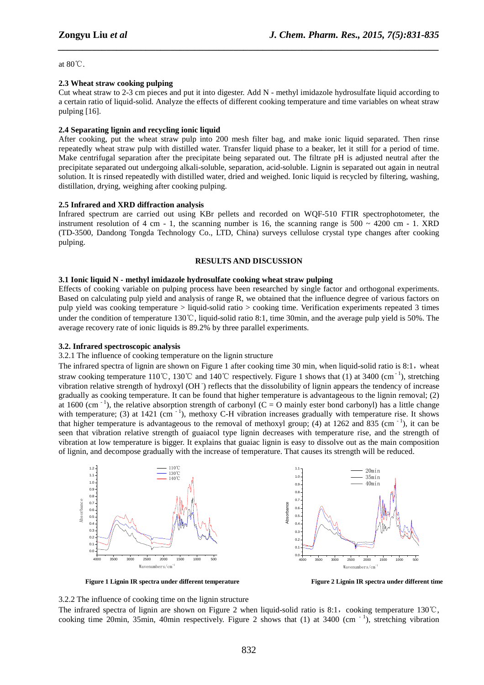at 80℃.

#### **2.3 Wheat straw cooking pulping**

Cut wheat straw to 2-3 cm pieces and put it into digester. Add N - methyl imidazole hydrosulfate liquid according to a certain ratio of liquid-solid. Analyze the effects of different cooking temperature and time variables on wheat straw pulping [16].

*\_\_\_\_\_\_\_\_\_\_\_\_\_\_\_\_\_\_\_\_\_\_\_\_\_\_\_\_\_\_\_\_\_\_\_\_\_\_\_\_\_\_\_\_\_\_\_\_\_\_\_\_\_\_\_\_\_\_\_\_\_\_\_\_\_\_\_\_\_\_\_\_\_\_\_\_\_\_*

#### **2.4 Separating lignin and recycling ionic liquid**

After cooking, put the wheat straw pulp into 200 mesh filter bag, and make ionic liquid separated. Then rinse repeatedly wheat straw pulp with distilled water. Transfer liquid phase to a beaker, let it still for a period of time. Make centrifugal separation after the precipitate being separated out. The filtrate pH is adjusted neutral after the precipitate separated out undergoing alkali-soluble, separation, acid-soluble. Lignin is separated out again in neutral solution. It is rinsed repeatedly with distilled water, dried and weighed. Ionic liquid is recycled by filtering, washing, distillation, drying, weighing after cooking pulping.

#### **2.5 Infrared and XRD diffraction analysis**

Infrared spectrum are carried out using KBr pellets and recorded on WQF-510 FTIR spectrophotometer, the instrument resolution of 4 cm - 1, the scanning number is 16, the scanning range is  $500 \sim 4200$  cm - 1. XRD (TD-3500, Dandong Tongda Technology Co., LTD, China) surveys cellulose crystal type changes after cooking pulping.

#### **RESULTS AND DISCUSSION**

#### **3.1 Ionic liquid N - methyl imidazole hydrosulfate cooking wheat straw pulping**

Effects of cooking variable on pulping process have been researched by single factor and orthogonal experiments. Based on calculating pulp yield and analysis of range R, we obtained that the influence degree of various factors on pulp yield was cooking temperature > liquid-solid ratio > cooking time. Verification experiments repeated 3 times under the condition of temperature 130℃, liquid-solid ratio 8:1, time 30min, and the average pulp yield is 50%. The average recovery rate of ionic liquids is 89.2% by three parallel experiments.

#### **3.2. Infrared spectroscopic analysis**

#### 3.2.1 The influence of cooking temperature on the lignin structure

The infrared spectra of lignin are shown on Figure 1 after cooking time 30 min, when liquid-solid ratio is  $8:1$ , wheat straw cooking temperature 110℃, 130℃ and 140℃ respectively. Figure 1 shows that (1) at 3400 (cm<sup>-1</sup>), stretching vibration relative strength of hydroxyl (OH -) reflects that the dissolubility of lignin appears the tendency of increase gradually as cooking temperature. It can be found that higher temperature is advantageous to the lignin removal; (2) at 1600 (cm<sup> $-1$ </sup>), the relative absorption strength of carbonyl (C = O mainly ester bond carbonyl) has a little change with temperature; (3) at 1421 (cm  $^{-1}$ ), methoxy C-H vibration increases gradually with temperature rise. It shows that higher temperature is advantageous to the removal of methoxyl group; (4) at 1262 and 835 (cm<sup>-1</sup>), it can be seen that vibration relative strength of guaiacol type lignin decreases with temperature rise, and the strength of vibration at low temperature is bigger. It explains that guaiac lignin is easy to dissolve out as the main composition of lignin, and decompose gradually with the increase of temperature. That causes its strength will be reduced.



 **Figure 1 Lignin IR spectra under different temperature Figure 2 Lignin IR spectra under different time** 

3.2.2 The influence of cooking time on the lignin structure

The infrared spectra of lignin are shown on Figure 2 when liquid-solid ratio is 8:1, cooking temperature 130℃, cooking time 20min, 35min, 40min respectively. Figure 2 shows that  $(1)$  at 3400 (cm<sup>-1</sup>), stretching vibration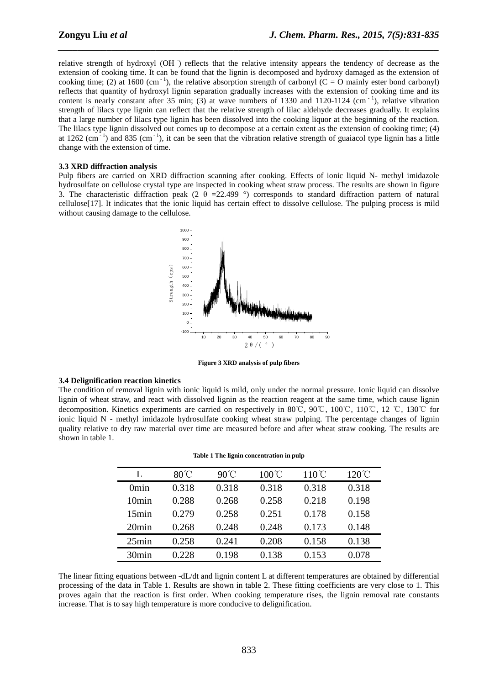relative strength of hydroxyl (OH ) reflects that the relative intensity appears the tendency of decrease as the extension of cooking time. It can be found that the lignin is decomposed and hydroxy damaged as the extension of cooking time; (2) at 1600 (cm<sup>-1</sup>), the relative absorption strength of carbonyl (C = O mainly ester bond carbonyl) reflects that quantity of hydroxyl lignin separation gradually increases with the extension of cooking time and its content is nearly constant after 35 min; (3) at wave numbers of 1330 and 1120-1124 (cm<sup>-1</sup>), relative vibration strength of lilacs type lignin can reflect that the relative strength of lilac aldehyde decreases gradually. It explains that a large number of lilacs type lignin has been dissolved into the cooking liquor at the beginning of the reaction. The lilacs type lignin dissolved out comes up to decompose at a certain extent as the extension of cooking time; (4) at 1262 (cm<sup> $-1$ </sup>) and 835 (cm $^{-1}$ ), it can be seen that the vibration relative strength of guaiacol type lignin has a little change with the extension of time.

*\_\_\_\_\_\_\_\_\_\_\_\_\_\_\_\_\_\_\_\_\_\_\_\_\_\_\_\_\_\_\_\_\_\_\_\_\_\_\_\_\_\_\_\_\_\_\_\_\_\_\_\_\_\_\_\_\_\_\_\_\_\_\_\_\_\_\_\_\_\_\_\_\_\_\_\_\_\_*

#### **3.3 XRD diffraction analysis**

Pulp fibers are carried on XRD diffraction scanning after cooking. Effects of ionic liquid N- methyl imidazole hydrosulfate on cellulose crystal type are inspected in cooking wheat straw process. The results are shown in figure 3. The characteristic diffraction peak (2  $\theta$  =22.499 °) corresponds to standard diffraction pattern of natural cellulose[17]. It indicates that the ionic liquid has certain effect to dissolve cellulose. The pulping process is mild without causing damage to the cellulose.



**Figure 3 XRD analysis of pulp fibers** 

#### **3.4 Delignification reaction kinetics**

The condition of removal lignin with ionic liquid is mild, only under the normal pressure. Ionic liquid can dissolve lignin of wheat straw, and react with dissolved lignin as the reaction reagent at the same time, which cause lignin decomposition. Kinetics experiments are carried on respectively in 80℃, 90℃, 100℃, 110℃, 12 ℃, 130℃ for ionic liquid N - methyl imidazole hydrosulfate cooking wheat straw pulping. The percentage changes of lignin quality relative to dry raw material over time are measured before and after wheat straw cooking. The results are shown in table 1.

| Table 1 The ngmn concentration in purp |                |                |                 |                 |                 |  |
|----------------------------------------|----------------|----------------|-----------------|-----------------|-----------------|--|
| L                                      | $80^{\circ}$ C | $90^{\circ}$ C | $100^{\circ}$ C | $110^{\circ}$ C | $120^{\circ}$ C |  |
| 0 <sub>min</sub>                       | 0.318          | 0.318          | 0.318           | 0.318           | 0.318           |  |
| 10 <sub>min</sub>                      | 0.288          | 0.268          | 0.258           | 0.218           | 0.198           |  |
| 15min                                  | 0.279          | 0.258          | 0.251           | 0.178           | 0.158           |  |
| 20min                                  | 0.268          | 0.248          | 0.248           | 0.173           | 0.148           |  |
| 25min                                  | 0.258          | 0.241          | 0.208           | 0.158           | 0.138           |  |
| 30 <sub>min</sub>                      | 0.228          | 0.198          | 0.138           | 0.153           | 0.078           |  |

|  | Table 1 The lignin concentration in pulp |  |
|--|------------------------------------------|--|
|--|------------------------------------------|--|

The linear fitting equations between -dL/dt and lignin content L at different temperatures are obtained by differential processing of the data in Table 1. Results are shown in table 2. These fitting coefficients are very close to 1. This proves again that the reaction is first order. When cooking temperature rises, the lignin removal rate constants increase. That is to say high temperature is more conducive to delignification.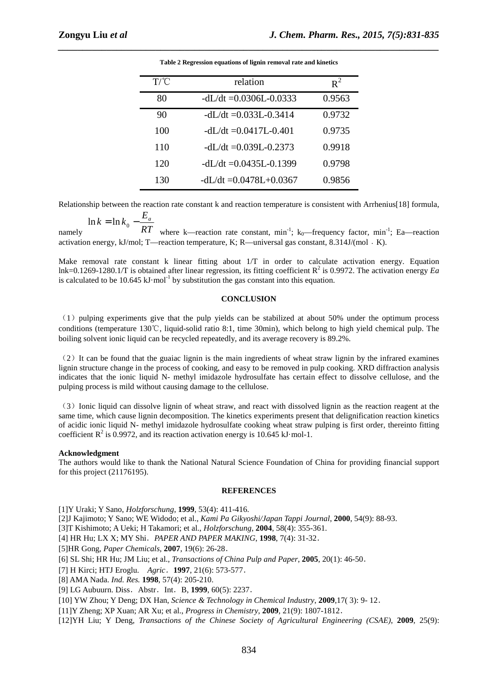| T/C | relation                     | $R^2$  |
|-----|------------------------------|--------|
| 80  | $-dL/dt = 0.0306L - 0.0333$  | 0.9563 |
| 90  | $-dL/dt = 0.033L-0.3414$     | 0.9732 |
| 100 | $-dL/dt = 0.0417L-0.401$     | 0.9735 |
| 110 | $-dL/dt = 0.039L - 0.2373$   | 0.9918 |
| 120 | $-dL/dt = 0.0435L-0.1399$    | 0.9798 |
| 130 | $- dI/dt = 0.0478I + 0.0367$ | 0.9856 |
|     |                              |        |

*\_\_\_\_\_\_\_\_\_\_\_\_\_\_\_\_\_\_\_\_\_\_\_\_\_\_\_\_\_\_\_\_\_\_\_\_\_\_\_\_\_\_\_\_\_\_\_\_\_\_\_\_\_\_\_\_\_\_\_\_\_\_\_\_\_\_\_\_\_\_\_\_\_\_\_\_\_\_* **Table 2 Regression equations of lignin removal rate and kinetics** 

Relationship between the reaction rate constant k and reaction temperature is consistent with Arrhenius[18] formula,

$$
\ln k = \ln k_0 - \frac{E_a}{RT}
$$

namely *RT* where k—reaction rate constant,  $min^{-1}$ ;  $k_0$ —frequency factor,  $min^{-1}$ ; Ea—reaction activation energy, kJ/mol; T—reaction temperature, K; R—universal gas constant, 8.314J/(mol · K).

Make removal rate constant k linear fitting about 1/T in order to calculate activation energy. Equation lnk=0.1269-1280.1/T is obtained after linear regression, its fitting coefficient  $R^2$  is 0.9972. The activation energy *Ea* is calculated to be  $10.645 \text{ kJ} \cdot \text{mol}^{-1}$  by substitution the gas constant into this equation.

#### **CONCLUSION**

 $(1)$  pulping experiments give that the pulp yields can be stabilized at about 50% under the optimum process conditions (temperature 130℃, liquid-solid ratio 8:1, time 30min), which belong to high yield chemical pulp. The boiling solvent ionic liquid can be recycled repeatedly, and its average recovery is 89.2%.

(2)It can be found that the guaiac lignin is the main ingredients of wheat straw lignin by the infrared examines lignin structure change in the process of cooking, and easy to be removed in pulp cooking. XRD diffraction analysis indicates that the ionic liquid N- methyl imidazole hydrosulfate has certain effect to dissolve cellulose, and the pulping process is mild without causing damage to the cellulose.

(3)Ionic liquid can dissolve lignin of wheat straw, and react with dissolved lignin as the reaction reagent at the same time, which cause lignin decomposition. The kinetics experiments present that delignification reaction kinetics of acidic ionic liquid N- methyl imidazole hydrosulfate cooking wheat straw pulping is first order, thereinto fitting coefficient  $R^2$  is 0.9972, and its reaction activation energy is 10.645 kJ·mol-1.

#### **Acknowledgment**

The authors would like to thank the National Natural Science Foundation of China for providing financial support for this project (21176195).

#### **REFERENCES**

[1]Y Uraki; Y Sano, *Holzforschung*, **1999**, 53(4): 411-416.

[2]J Kajimoto; Y Sano; WE Widodo; et al., *Kami Pa Gikyoshi/Japan Tappi Journal*, **2000**, 54(9): 88-93.

[3]T Kishimoto; A Ueki; H Takamori; et al., *Holzforschung*, **2004**, 58(4): 355-361.

[4] HR Hu; LX X; MY Shi.*PAPER AND PAPER MAKING*, **1998**, 7(4): 31-32.

[5]HR Gong, *Paper Chemicals,* **2007**, 19(6): 26-28.

[6] SL Shi; HR Hu; JM Liu; et al., *Transactions of China Pulp and Paper*, **2005**, 20(1): 46-50.

[7] H Kirci; HTJ Eroglu. *Agric*.**1997**, 21(6): 573-577.

[8] AMA Nada. *Ind. Res.* **1998**, 57(4): 205-210.

[9] LG Aubuurn. Diss. Abstr. Int. B, 1999, 60(5): 2237.

[10] YW Zhou; Y Deng; DX Han, *Science & Technology in Chemical Industry*, **2009**,17( 3): 9- 12.

[11]Y Zheng; XP Xuan; AR Xu; et al., *Progress in Chemistry*, **2009**, 21(9): 1807-1812.

[12]YH Liu; Y Deng, *Transactions of the Chinese Society of Agricultural Engineering (CSAE)*, **2009**, 25(9):